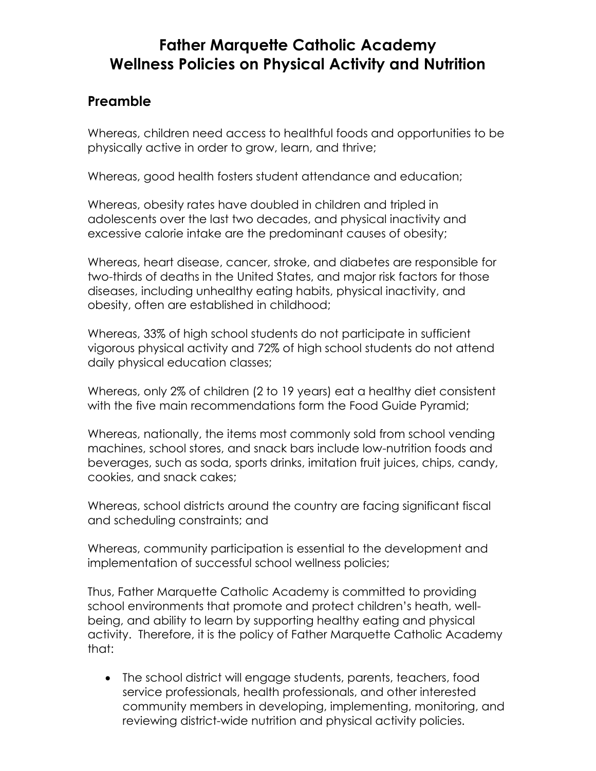## **Father Marquette Catholic Academy Wellness Policies on Physical Activity and Nutrition**

### **Preamble**

Whereas, children need access to healthful foods and opportunities to be physically active in order to grow, learn, and thrive;

Whereas, good health fosters student attendance and education;

Whereas, obesity rates have doubled in children and tripled in adolescents over the last two decades, and physical inactivity and excessive calorie intake are the predominant causes of obesity;

Whereas, heart disease, cancer, stroke, and diabetes are responsible for two-thirds of deaths in the United States, and major risk factors for those diseases, including unhealthy eating habits, physical inactivity, and obesity, often are established in childhood;

Whereas, 33% of high school students do not participate in sufficient vigorous physical activity and 72% of high school students do not attend daily physical education classes;

Whereas, only 2% of children (2 to 19 years) eat a healthy diet consistent with the five main recommendations form the Food Guide Pyramid;

Whereas, nationally, the items most commonly sold from school vending machines, school stores, and snack bars include low-nutrition foods and beverages, such as soda, sports drinks, imitation fruit juices, chips, candy, cookies, and snack cakes;

Whereas, school districts around the country are facing significant fiscal and scheduling constraints; and

Whereas, community participation is essential to the development and implementation of successful school wellness policies;

Thus, Father Marquette Catholic Academy is committed to providing school environments that promote and protect children's heath, wellbeing, and ability to learn by supporting healthy eating and physical activity. Therefore, it is the policy of Father Marquette Catholic Academy that:

• The school district will engage students, parents, teachers, food service professionals, health professionals, and other interested community members in developing, implementing, monitoring, and reviewing district-wide nutrition and physical activity policies.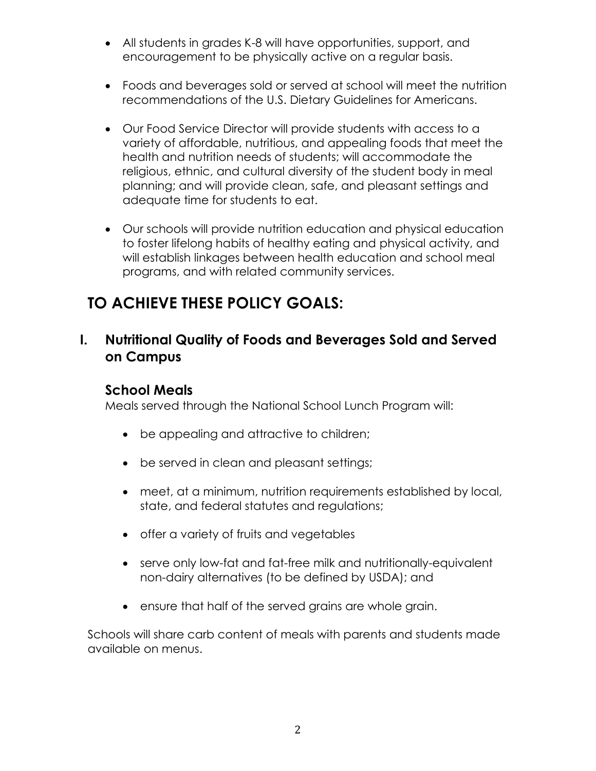- All students in grades K-8 will have opportunities, support, and encouragement to be physically active on a regular basis.
- Foods and beverages sold or served at school will meet the nutrition recommendations of the U.S. Dietary Guidelines for Americans.
- Our Food Service Director will provide students with access to a variety of affordable, nutritious, and appealing foods that meet the health and nutrition needs of students; will accommodate the religious, ethnic, and cultural diversity of the student body in meal planning; and will provide clean, safe, and pleasant settings and adequate time for students to eat.
- Our schools will provide nutrition education and physical education to foster lifelong habits of healthy eating and physical activity, and will establish linkages between health education and school meal programs, and with related community services.

# **TO ACHIEVE THESE POLICY GOALS:**

### **I. Nutritional Quality of Foods and Beverages Sold and Served on Campus**

#### **School Meals**

Meals served through the National School Lunch Program will:

- be appealing and attractive to children;
- be served in clean and pleasant settings;
- meet, at a minimum, nutrition requirements established by local, state, and federal statutes and regulations;
- offer a variety of fruits and vegetables
- serve only low-fat and fat-free milk and nutritionally-equivalent non-dairy alternatives (to be defined by USDA); and
- ensure that half of the served grains are whole grain.

Schools will share carb content of meals with parents and students made available on menus.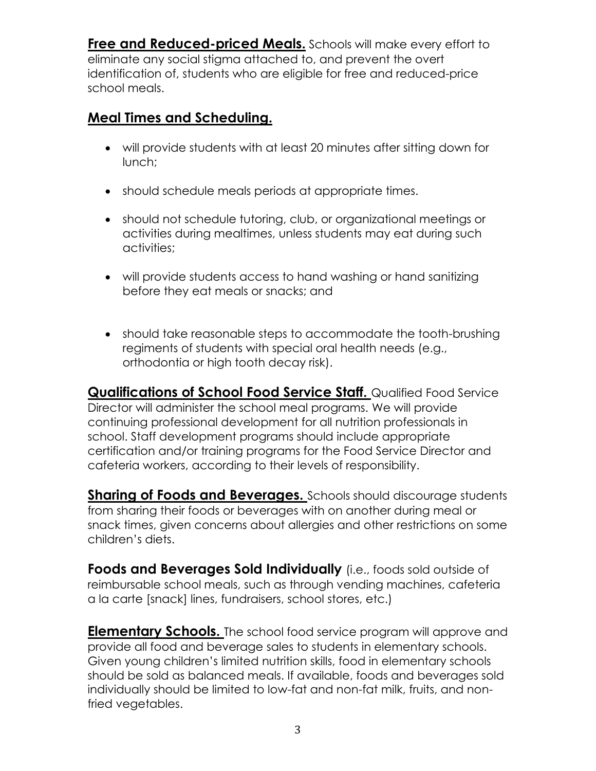**Free and Reduced-priced Meals.** Schools will make every effort to eliminate any social stigma attached to, and prevent the overt identification of, students who are eligible for free and reduced-price school meals.

## **Meal Times and Scheduling.**

- will provide students with at least 20 minutes after sitting down for lunch;
- should schedule meals periods at appropriate times.
- should not schedule tutoring, club, or organizational meetings or activities during mealtimes, unless students may eat during such activities;
- will provide students access to hand washing or hand sanitizing before they eat meals or snacks; and
- should take reasonable steps to accommodate the tooth-brushing regiments of students with special oral health needs (e.g., orthodontia or high tooth decay risk).

**Qualifications of School Food Service Staff.** Qualified Food Service Director will administer the school meal programs. We will provide continuing professional development for all nutrition professionals in school. Staff development programs should include appropriate certification and/or training programs for the Food Service Director and cafeteria workers, according to their levels of responsibility.

**Sharing of Foods and Beverages.** Schools should discourage students from sharing their foods or beverages with on another during meal or snack times, given concerns about allergies and other restrictions on some children's diets.

**Foods and Beverages Sold Individually** (i.e., foods sold outside of reimbursable school meals, such as through vending machines, cafeteria a la carte [snack] lines, fundraisers, school stores, etc.)

**Elementary Schools.** The school food service program will approve and provide all food and beverage sales to students in elementary schools. Given young children's limited nutrition skills, food in elementary schools should be sold as balanced meals. If available, foods and beverages sold individually should be limited to low-fat and non-fat milk, fruits, and nonfried vegetables.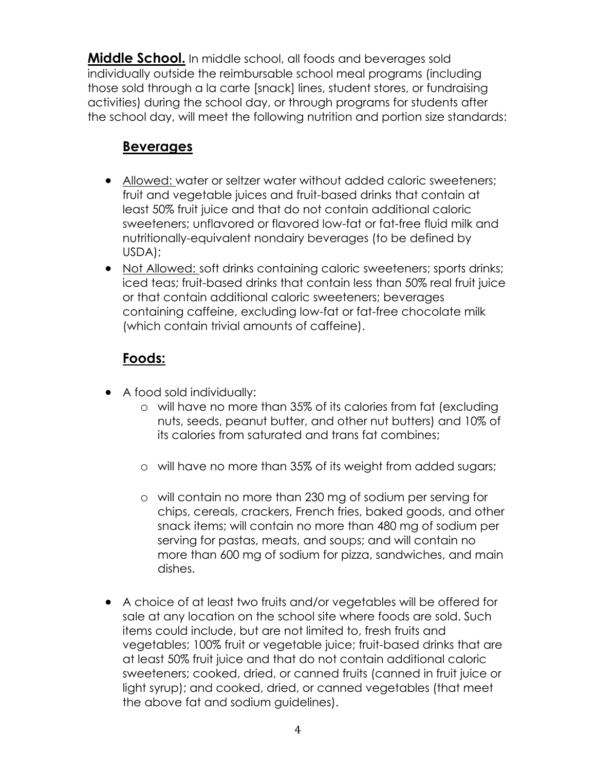**Middle School.** In middle school, all foods and beverages sold individually outside the reimbursable school meal programs (including those sold through a la carte [snack] lines, student stores, or fundraising activities) during the school day, or through programs for students after the school day, will meet the following nutrition and portion size standards:

## **Beverages**

- Allowed: water or seltzer water without added caloric sweeteners; fruit and vegetable juices and fruit-based drinks that contain at least 50% fruit juice and that do not contain additional caloric sweeteners; unflavored or flavored low-fat or fat-free fluid milk and nutritionally-equivalent nondairy beverages (to be defined by USDA);
- Not Allowed: soft drinks containing caloric sweeteners; sports drinks; iced teas; fruit-based drinks that contain less than 50% real fruit juice or that contain additional caloric sweeteners; beverages containing caffeine, excluding low-fat or fat-free chocolate milk (which contain trivial amounts of caffeine).

## **Foods:**

- A food sold individually:
	- o will have no more than 35% of its calories from fat (excluding nuts, seeds, peanut butter, and other nut butters) and 10% of its calories from saturated and trans fat combines;
	- o will have no more than 35% of its weight from added sugars;
	- o will contain no more than 230 mg of sodium per serving for chips, cereals, crackers, French fries, baked goods, and other snack items; will contain no more than 480 mg of sodium per serving for pastas, meats, and soups; and will contain no more than 600 mg of sodium for pizza, sandwiches, and main dishes.
- A choice of at least two fruits and/or vegetables will be offered for sale at any location on the school site where foods are sold. Such items could include, but are not limited to, fresh fruits and vegetables; 100% fruit or vegetable juice; fruit-based drinks that are at least 50% fruit juice and that do not contain additional caloric sweeteners; cooked, dried, or canned fruits (canned in fruit juice or light syrup); and cooked, dried, or canned vegetables (that meet the above fat and sodium guidelines).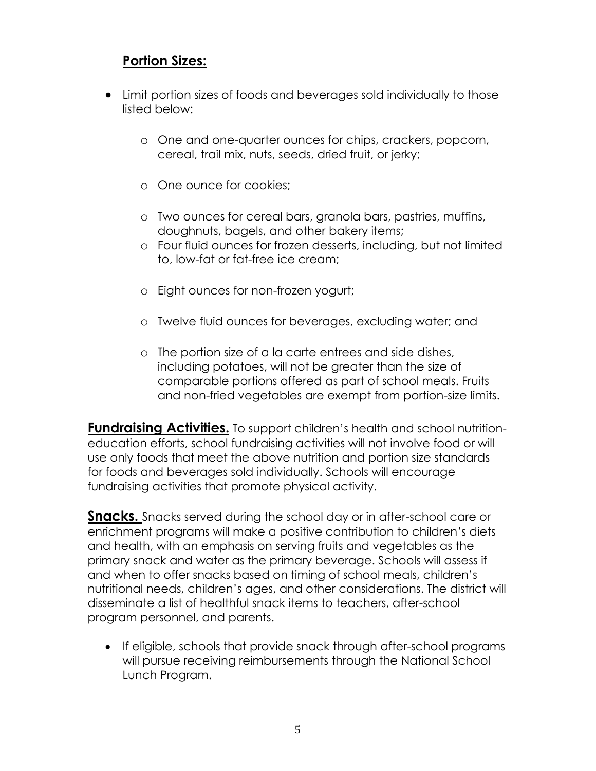## **Portion Sizes:**

- Limit portion sizes of foods and beverages sold individually to those listed below:
	- o One and one-quarter ounces for chips, crackers, popcorn, cereal, trail mix, nuts, seeds, dried fruit, or jerky;
	- o One ounce for cookies;
	- o Two ounces for cereal bars, granola bars, pastries, muffins, doughnuts, bagels, and other bakery items;
	- o Four fluid ounces for frozen desserts, including, but not limited to, low-fat or fat-free ice cream;
	- o Eight ounces for non-frozen yogurt;
	- o Twelve fluid ounces for beverages, excluding water; and
	- o The portion size of a la carte entrees and side dishes, including potatoes, will not be greater than the size of comparable portions offered as part of school meals. Fruits and non-fried vegetables are exempt from portion-size limits.

**Fundraising Activities.** To support children's health and school nutritioneducation efforts, school fundraising activities will not involve food or will use only foods that meet the above nutrition and portion size standards for foods and beverages sold individually. Schools will encourage fundraising activities that promote physical activity.

**Snacks.** Snacks served during the school day or in after-school care or enrichment programs will make a positive contribution to children's diets and health, with an emphasis on serving fruits and vegetables as the primary snack and water as the primary beverage. Schools will assess if and when to offer snacks based on timing of school meals, children's nutritional needs, children's ages, and other considerations. The district will disseminate a list of healthful snack items to teachers, after-school program personnel, and parents.

• If eligible, schools that provide snack through after-school programs will pursue receiving reimbursements through the National School Lunch Program.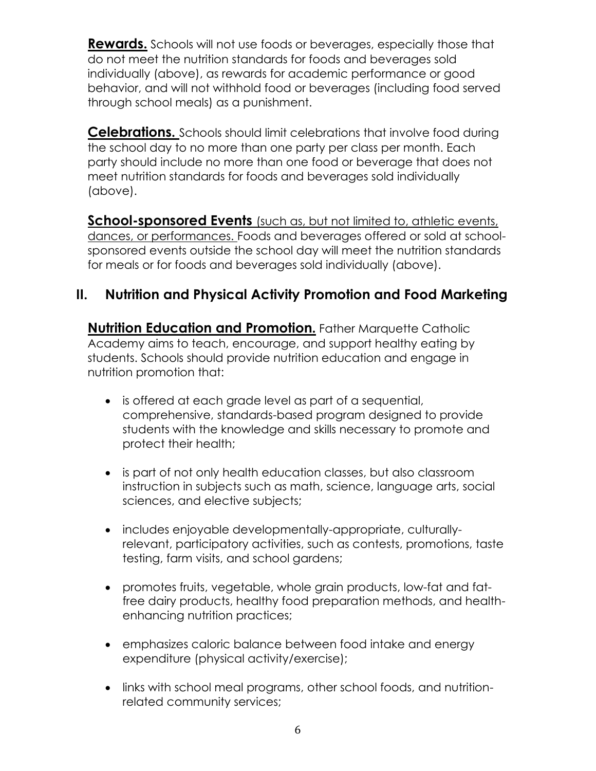**Rewards.** Schools will not use foods or beverages, especially those that do not meet the nutrition standards for foods and beverages sold individually (above), as rewards for academic performance or good behavior, and will not withhold food or beverages (including food served through school meals) as a punishment.

**Celebrations.** Schools should limit celebrations that involve food during the school day to no more than one party per class per month. Each party should include no more than one food or beverage that does not meet nutrition standards for foods and beverages sold individually (above).

**School-sponsored Events** (such as, but not limited to, athletic events, dances, or performances. Foods and beverages offered or sold at schoolsponsored events outside the school day will meet the nutrition standards for meals or for foods and beverages sold individually (above).

## **II. Nutrition and Physical Activity Promotion and Food Marketing**

**Nutrition Education and Promotion.** Father Marquette Catholic Academy aims to teach, encourage, and support healthy eating by students. Schools should provide nutrition education and engage in nutrition promotion that:

- is offered at each grade level as part of a sequential, comprehensive, standards-based program designed to provide students with the knowledge and skills necessary to promote and protect their health;
- is part of not only health education classes, but also classroom instruction in subjects such as math, science, language arts, social sciences, and elective subjects;
- includes enjoyable developmentally-appropriate, culturallyrelevant, participatory activities, such as contests, promotions, taste testing, farm visits, and school gardens;
- promotes fruits, vegetable, whole grain products, low-fat and fatfree dairy products, healthy food preparation methods, and healthenhancing nutrition practices;
- emphasizes caloric balance between food intake and energy expenditure (physical activity/exercise);
- links with school meal programs, other school foods, and nutritionrelated community services;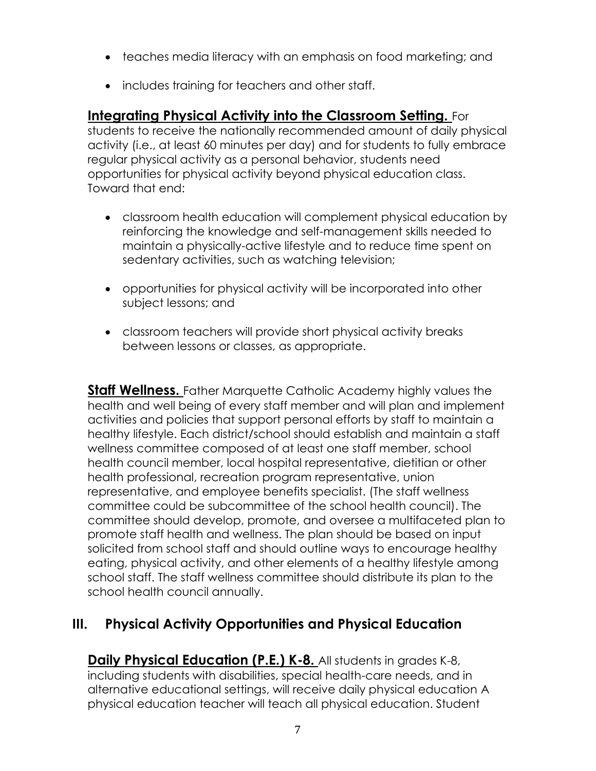- teaches media literacy with an emphasis on food marketing; and
- includes training for teachers and other staff.

#### **Integrating Physical Activity into the Classroom Setting.** For

students to receive the nationally recommended amount of daily physical activity (i.e., at least 60 minutes per day) and for students to fully embrace regular physical activity as a personal behavior, students need opportunities for physical activity beyond physical education class. Toward that end:

- classroom health education will complement physical education by reinforcing the knowledge and self-management skills needed to maintain a physically-active lifestyle and to reduce time spent on sedentary activities, such as watching television;
- opportunities for physical activity will be incorporated into other subject lessons; and
- classroom teachers will provide short physical activity breaks between lessons or classes, as appropriate.

**Staff Wellness.** Father Marquette Catholic Academy highly values the health and well being of every staff member and will plan and implement activities and policies that support personal efforts by staff to maintain a healthy lifestyle. Each district/school should establish and maintain a staff wellness committee composed of at least one staff member, school health council member, local hospital representative, dietitian or other health professional, recreation program representative, union representative, and employee benefits specialist. (The staff wellness committee could be subcommittee of the school health council). The committee should develop, promote, and oversee a multifaceted plan to promote staff health and wellness. The plan should be based on input solicited from school staff and should outline ways to encourage healthy eating, physical activity, and other elements of a healthy lifestyle among school staff. The staff wellness committee should distribute its plan to the school health council annually.

## **III. Physical Activity Opportunities and Physical Education**

**Daily Physical Education (P.E.) K-8.** All students in grades K-8, including students with disabilities, special health-care needs, and in alternative educational settings, will receive daily physical education A physical education teacher will teach all physical education. Student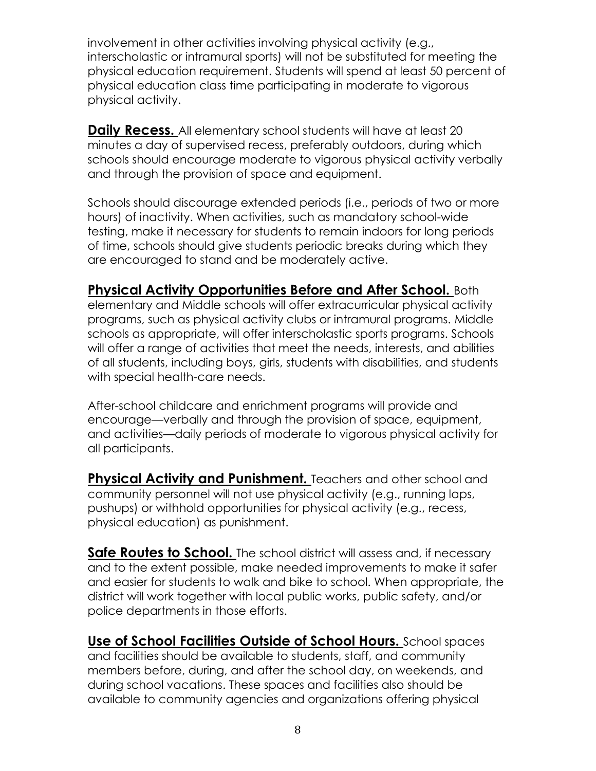involvement in other activities involving physical activity (e.g., interscholastic or intramural sports) will not be substituted for meeting the physical education requirement. Students will spend at least 50 percent of physical education class time participating in moderate to vigorous physical activity.

**Daily Recess.** All elementary school students will have at least 20 minutes a day of supervised recess, preferably outdoors, during which schools should encourage moderate to vigorous physical activity verbally and through the provision of space and equipment.

Schools should discourage extended periods (i.e., periods of two or more hours) of inactivity. When activities, such as mandatory school-wide testing, make it necessary for students to remain indoors for long periods of time, schools should give students periodic breaks during which they are encouraged to stand and be moderately active.

#### **Physical Activity Opportunities Before and After School.** Both

elementary and Middle schools will offer extracurricular physical activity programs, such as physical activity clubs or intramural programs. Middle schools as appropriate, will offer interscholastic sports programs. Schools will offer a range of activities that meet the needs, interests, and abilities of all students, including boys, girls, students with disabilities, and students with special health-care needs.

After-school childcare and enrichment programs will provide and encourage—verbally and through the provision of space, equipment, and activities—daily periods of moderate to vigorous physical activity for all participants.

**Physical Activity and Punishment.** Teachers and other school and community personnel will not use physical activity (e.g., running laps, pushups) or withhold opportunities for physical activity (e.g., recess, physical education) as punishment.

**Safe Routes to School.** The school district will assess and, if necessary and to the extent possible, make needed improvements to make it safer and easier for students to walk and bike to school. When appropriate, the district will work together with local public works, public safety, and/or police departments in those efforts.

**Use of School Facilities Outside of School Hours.** School spaces and facilities should be available to students, staff, and community members before, during, and after the school day, on weekends, and during school vacations. These spaces and facilities also should be available to community agencies and organizations offering physical